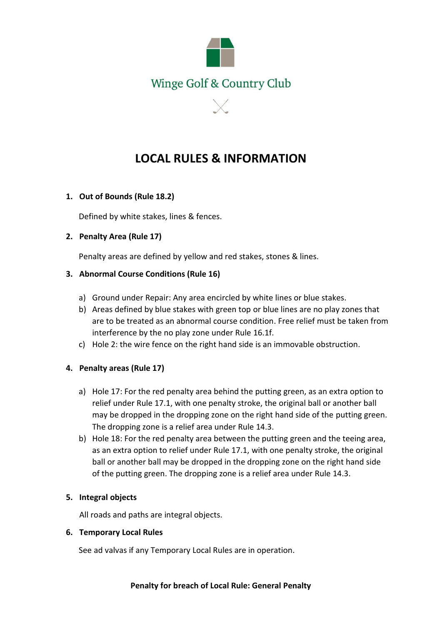

# **LOCAL RULES & INFORMATION**

## **1. Out of Bounds (Rule 18.2)**

Defined by white stakes, lines & fences.

#### **2. Penalty Area (Rule 17)**

Penalty areas are defined by yellow and red stakes, stones & lines.

#### **3. Abnormal Course Conditions (Rule 16)**

- a) Ground under Repair: Any area encircled by white lines or blue stakes.
- b) Areas defined by blue stakes with green top or blue lines are no play zones that are to be treated as an abnormal course condition. Free relief must be taken from interference by the no play zone under Rule 16.1f.
- c) Hole 2: the wire fence on the right hand side is an immovable obstruction.

## **4. Penalty areas (Rule 17)**

- a) Hole 17: For the red penalty area behind the putting green, as an extra option to relief under Rule 17.1, with one penalty stroke, the original ball or another ball may be dropped in the dropping zone on the right hand side of the putting green. The dropping zone is a relief area under Rule 14.3.
- b) Hole 18: For the red penalty area between the putting green and the teeing area, as an extra option to relief under Rule 17.1, with one penalty stroke, the original ball or another ball may be dropped in the dropping zone on the right hand side of the putting green. The dropping zone is a relief area under Rule 14.3.

## **5. Integral objects**

All roads and paths are integral objects.

#### **6. Temporary Local Rules**

See ad valvas if any Temporary Local Rules are in operation.